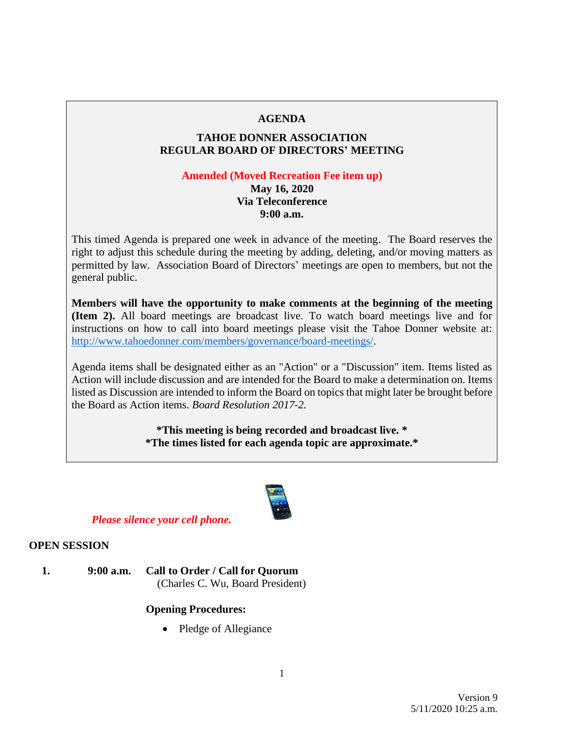### **AGENDA**

## **TAHOE DONNER ASSOCIATION REGULAR BOARD OF DIRECTORS' MEETING**

#### **Amended (Moved Recreation Fee item up)**

**May 16, 2020 Via Teleconference 9:00 a.m.**

This timed Agenda is prepared one week in advance of the meeting. The Board reserves the right to adjust this schedule during the meeting by adding, deleting, and/or moving matters as permitted by law. Association Board of Directors' meetings are open to members, but not the general public.

**Members will have the opportunity to make comments at the beginning of the meeting (Item 2).** All board meetings are broadcast live. To watch board meetings live and for instructions on how to call into board meetings please visit the Tahoe Donner website at: [http://www.tahoedonner.com/members/governance/board-meetings/.](http://www.tahoedonner.com/members/governance/board-meetings/)

Agenda items shall be designated either as an "Action" or a "Discussion" item. Items listed as Action will include discussion and are intended for the Board to make a determination on. Items listed as Discussion are intended to inform the Board on topics that might later be brought before the Board as Action items. *Board Resolution 2017-2.*

> **\*This meeting is being recorded and broadcast live. \* \*The times listed for each agenda topic are approximate.\***



*Please silence your cell phone.*

#### **OPEN SESSION**

**1. 9:00 a.m. Call to Order / Call for Quorum** (Charles C. Wu, Board President)

## **Opening Procedures:**

• Pledge of Allegiance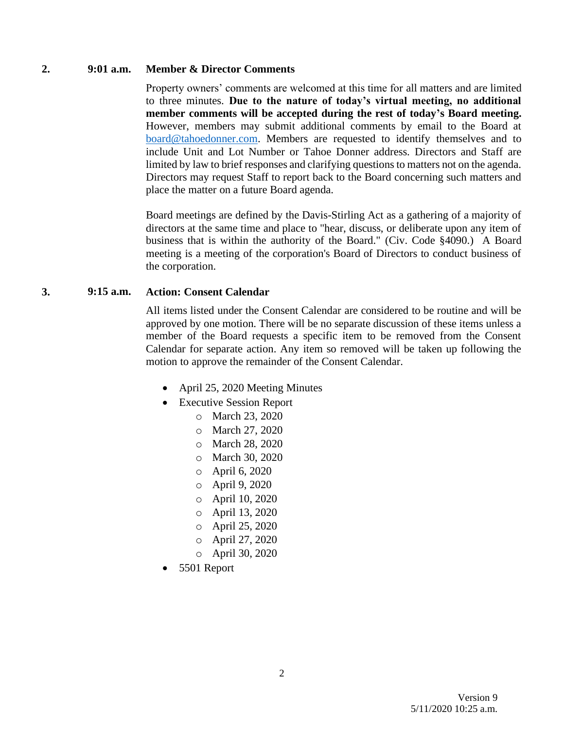#### **2. 9:01 a.m. Member & Director Comments**

Property owners' comments are welcomed at this time for all matters and are limited to three minutes. **Due to the nature of today's virtual meeting, no additional member comments will be accepted during the rest of today's Board meeting.** However, members may submit additional comments by email to the Board at [board@tahoedonner.com.](mailto:board@tahoedonner.com) Members are requested to identify themselves and to include Unit and Lot Number or Tahoe Donner address. Directors and Staff are limited by law to brief responses and clarifying questions to matters not on the agenda. Directors may request Staff to report back to the Board concerning such matters and place the matter on a future Board agenda.

Board meetings are defined by the Davis-Stirling Act as a gathering of a majority of directors at the same time and place to "hear, discuss, or deliberate upon any item of business that is within the authority of the Board." (Civ. Code §4090.) A Board meeting is a meeting of the corporation's Board of Directors to conduct business of the corporation.

### **3. 9:15 a.m. Action: Consent Calendar**

All items listed under the Consent Calendar are considered to be routine and will be approved by one motion. There will be no separate discussion of these items unless a member of the Board requests a specific item to be removed from the Consent Calendar for separate action. Any item so removed will be taken up following the motion to approve the remainder of the Consent Calendar.

- April 25, 2020 Meeting Minutes
- Executive Session Report
	- o March 23, 2020
	- o March 27, 2020
	- o March 28, 2020
	- o March 30, 2020
	- o April 6, 2020
	- o April 9, 2020
	- o April 10, 2020
	- o April 13, 2020
	- o April 25, 2020
	- o April 27, 2020
	- o April 30, 2020
- 5501 Report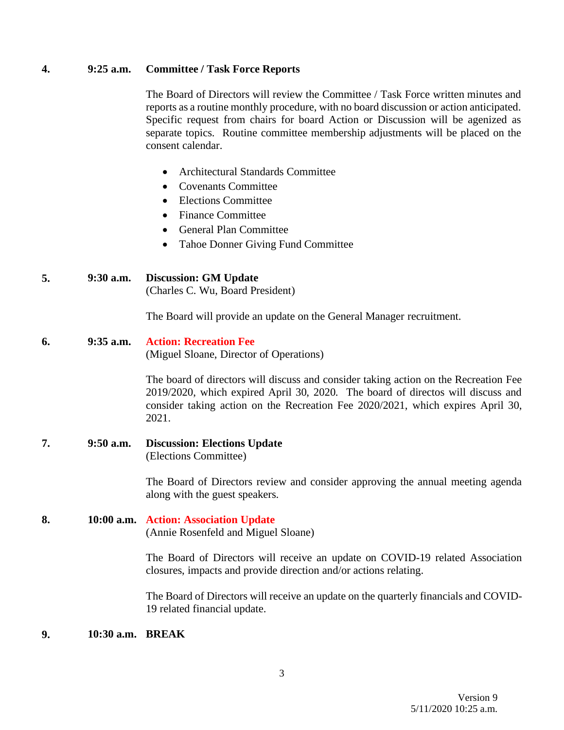### **4. 9:25 a.m. Committee / Task Force Reports**

The Board of Directors will review the Committee / Task Force written minutes and reports as a routine monthly procedure, with no board discussion or action anticipated. Specific request from chairs for board Action or Discussion will be agenized as separate topics. Routine committee membership adjustments will be placed on the consent calendar.

- Architectural Standards Committee
- Covenants Committee
- Elections Committee
- Finance Committee
- General Plan Committee
- Tahoe Donner Giving Fund Committee

### **5. 9:30 a.m. Discussion: GM Update**

(Charles C. Wu, Board President)

The Board will provide an update on the General Manager recruitment.

# **6. 9:35 a.m. Action: Recreation Fee**

(Miguel Sloane, Director of Operations)

The board of directors will discuss and consider taking action on the Recreation Fee 2019/2020, which expired April 30, 2020. The board of directos will discuss and consider taking action on the Recreation Fee 2020/2021, which expires April 30, 2021.

**7. 9:50 a.m. Discussion: Elections Update** (Elections Committee)

> The Board of Directors review and consider approving the annual meeting agenda along with the guest speakers.

**8. 10:00 a.m. Action: Association Update** (Annie Rosenfeld and Miguel Sloane)

> The Board of Directors will receive an update on COVID-19 related Association closures, impacts and provide direction and/or actions relating.

> The Board of Directors will receive an update on the quarterly financials and COVID-19 related financial update.

### **9. 10:30 a.m. BREAK**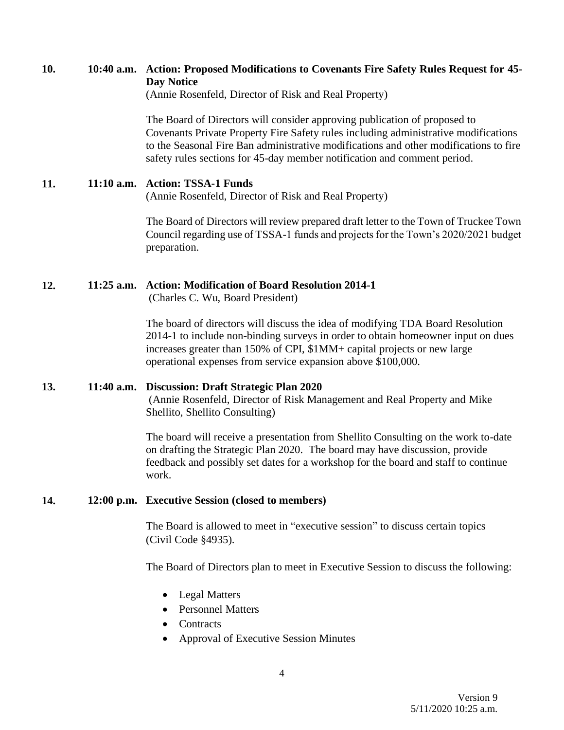## **10. 10:40 a.m. Action: Proposed Modifications to Covenants Fire Safety Rules Request for 45- Day Notice**

(Annie Rosenfeld, Director of Risk and Real Property)

The Board of Directors will consider approving publication of proposed to Covenants Private Property Fire Safety rules including administrative modifications to the Seasonal Fire Ban administrative modifications and other modifications to fire safety rules sections for 45-day member notification and comment period.

#### **11. 11:10 a.m. Action: TSSA-1 Funds**

(Annie Rosenfeld, Director of Risk and Real Property)

The Board of Directors will review prepared draft letter to the Town of Truckee Town Council regarding use of TSSA-1 funds and projects for the Town's 2020/2021 budget preparation.

#### **12. 11:25 a.m. Action: Modification of Board Resolution 2014-1**

(Charles C. Wu, Board President)

The board of directors will discuss the idea of modifying TDA Board Resolution 2014-1 to include non-binding surveys in order to obtain homeowner input on dues increases greater than 150% of CPI, \$1MM+ capital projects or new large operational expenses from service expansion above \$100,000.

#### **13. 11:40 a.m. Discussion: Draft Strategic Plan 2020**

(Annie Rosenfeld, Director of Risk Management and Real Property and Mike Shellito, Shellito Consulting)

The board will receive a presentation from Shellito Consulting on the work to-date on drafting the Strategic Plan 2020. The board may have discussion, provide feedback and possibly set dates for a workshop for the board and staff to continue work.

#### **14. 12:00 p.m. Executive Session (closed to members)**

The Board is allowed to meet in "executive session" to discuss certain topics (Civil Code §4935).

The Board of Directors plan to meet in Executive Session to discuss the following:

- Legal Matters
- Personnel Matters
- Contracts
- Approval of Executive Session Minutes